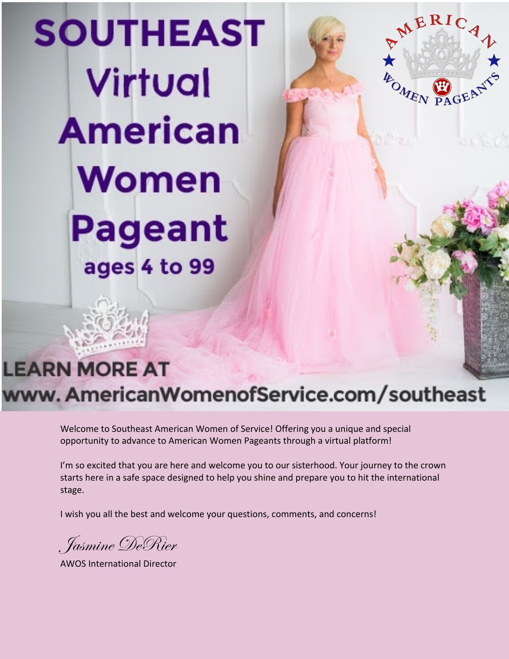# **SOUTHEAST** Virtual **American** Women **Pageant** ages 4 to 99

# **LEARN MORE AT** www. AmericanWomenofService.com/southeast

MERICA

**ABOMEN** 

Welcome to Southeast American Women of Service! Offering you a unique and special opportunity to advance to American Women Pageants through a virtual platform!

I'm so excited that you are here and welcome you to our sisterhood. Your journey to the crown starts here in a safe space designed to help you shine and prepare you to hit the international stage.

I wish you all the best and welcome your questions, comments, and concerns!

Jasmine DeRier

AWOS International Director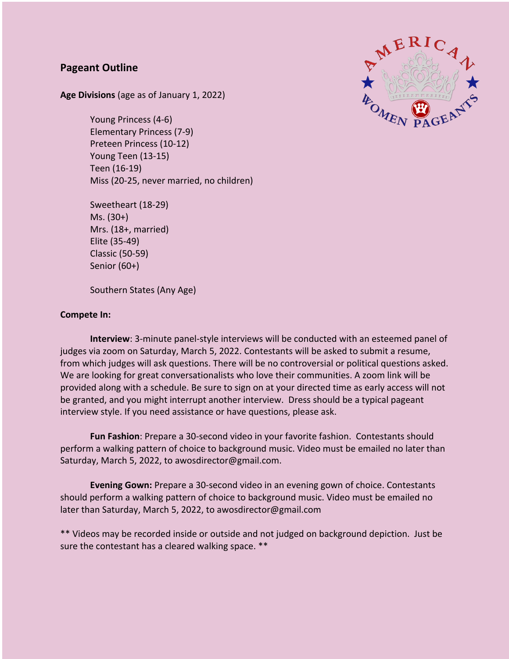## **Pageant Outline**

**Age Divisions** (age as of January 1, 2022)

Young Princess (4-6) Elementary Princess (7-9) Preteen Princess (10-12) Young Teen (13-15) Teen (16-19) Miss (20-25, never married, no children)

Sweetheart (18-29) Ms. (30+) Mrs. (18+, married) Elite (35-49) Classic (50-59) Senior (60+)

Southern States (Any Age)

#### **Compete In:**

**Interview**: 3-minute panel-style interviews will be conducted with an esteemed panel of judges via zoom on Saturday, March 5, 2022. Contestants will be asked to submit a resume, from which judges will ask questions. There will be no controversial or political questions asked. We are looking for great conversationalists who love their communities. A zoom link will be provided along with a schedule. Be sure to sign on at your directed time as early access will not be granted, and you might interrupt another interview. Dress should be a typical pageant interview style. If you need assistance or have questions, please ask.

**Fun Fashion**: Prepare a 30-second video in your favorite fashion. Contestants should perform a walking pattern of choice to background music. Video must be emailed no later than Saturday, March 5, 2022, to awosdirector@gmail.com.

**Evening Gown:** Prepare a 30-second video in an evening gown of choice. Contestants should perform a walking pattern of choice to background music. Video must be emailed no later than Saturday, March 5, 2022, to awosdirector@gmail.com

\*\* Videos may be recorded inside or outside and not judged on background depiction. Just be sure the contestant has a cleared walking space. \*\*

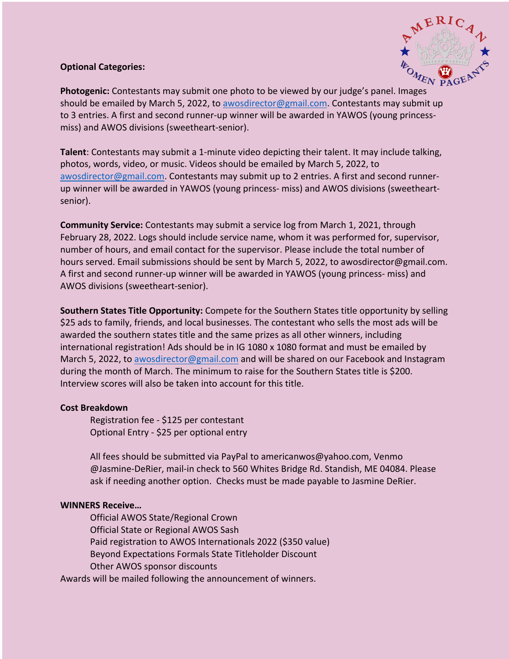### **Optional Categories:**



**Photogenic:** Contestants may submit one photo to be viewed by our judge's panel. Images should be emailed by March 5, 2022, to awosdirector@gmail.com. Contestants may submit up to 3 entries. A first and second runner-up winner will be awarded in YAWOS (young princessmiss) and AWOS divisions (sweetheart-senior).

**Talent**: Contestants may submit a 1-minute video depicting their talent. It may include talking, photos, words, video, or music. Videos should be emailed by March 5, 2022, to awosdirector@gmail.com. Contestants may submit up to 2 entries. A first and second runnerup winner will be awarded in YAWOS (young princess- miss) and AWOS divisions (sweetheartsenior).

**Community Service:** Contestants may submit a service log from March 1, 2021, through February 28, 2022. Logs should include service name, whom it was performed for, supervisor, number of hours, and email contact for the supervisor. Please include the total number of hours served. Email submissions should be sent by March 5, 2022, to awosdirector@gmail.com. A first and second runner-up winner will be awarded in YAWOS (young princess- miss) and AWOS divisions (sweetheart-senior).

**Southern States Title Opportunity:** Compete for the Southern States title opportunity by selling \$25 ads to family, friends, and local businesses. The contestant who sells the most ads will be awarded the southern states title and the same prizes as all other winners, including international registration! Ads should be in IG 1080 x 1080 format and must be emailed by March 5, 2022, to awosdirector@gmail.com and will be shared on our Facebook and Instagram during the month of March. The minimum to raise for the Southern States title is \$200. Interview scores will also be taken into account for this title.

#### **Cost Breakdown**

Registration fee - \$125 per contestant Optional Entry - \$25 per optional entry

All fees should be submitted via PayPal to americanwos@yahoo.com, Venmo @Jasmine-DeRier, mail-in check to 560 Whites Bridge Rd. Standish, ME 04084. Please ask if needing another option. Checks must be made payable to Jasmine DeRier.

#### **WINNERS Receive…**

Official AWOS State/Regional Crown Official State or Regional AWOS Sash Paid registration to AWOS Internationals 2022 (\$350 value) Beyond Expectations Formals State Titleholder Discount Other AWOS sponsor discounts

Awards will be mailed following the announcement of winners.